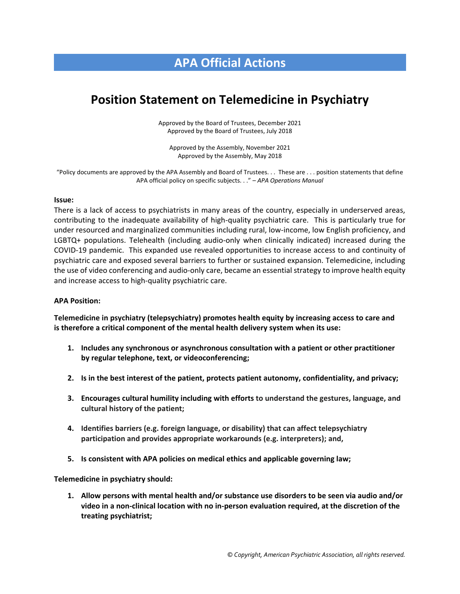## **APA Official Actions**

# **Position Statement on Telemedicine in Psychiatry**

Approved by the Board of Trustees, December 2021 Approved by the Board of Trustees, July 2018

Approved by the Assembly, November 2021 Approved by the Assembly, May 2018

"Policy documents are approved by the APA Assembly and Board of Trustees. . . These are . . . position statements that define APA official policy on specific subjects. . ." – *APA Operations Manual*

#### **Issue:**

There is a lack of access to psychiatrists in many areas of the country, especially in underserved areas, contributing to the inadequate availability of high-quality psychiatric care. This is particularly true for under resourced and marginalized communities including rural, low-income, low English proficiency, and LGBTQ+ populations. Telehealth (including audio-only when clinically indicated) increased during the COVID-19 pandemic. This expanded use revealed opportunities to increase access to and continuity of psychiatric care and exposed several barriers to further or sustained expansion. Telemedicine, including the use of video conferencing and audio-only care, became an essential strategy to improve health equity and increase access to high-quality psychiatric care.

#### **APA Position:**

**Telemedicine in psychiatry (telepsychiatry) promotes health equity by increasing access to care and is therefore a critical component of the mental health delivery system when its use:**

- **1. Includes any synchronous or asynchronous consultation with a patient or other practitioner by regular telephone, text, or videoconferencing;**
- **2. Is in the best interest of the patient, protects patient autonomy, confidentiality, and privacy;**
- **3. Encourages cultural humility including with efforts to understand the gestures, language, and cultural history of the patient;**
- **4. Identifies barriers (e.g. foreign language, or disability) that can affect telepsychiatry participation and provides appropriate workarounds (e.g. interpreters); and,**
- **5. Is consistent with APA policies on medical ethics and applicable governing law;**

**Telemedicine in psychiatry should:**

**1. Allow persons with mental health and/or substance use disorders to be seen via audio and/or video in a non-clinical location with no in-person evaluation required, at the discretion of the treating psychiatrist;**